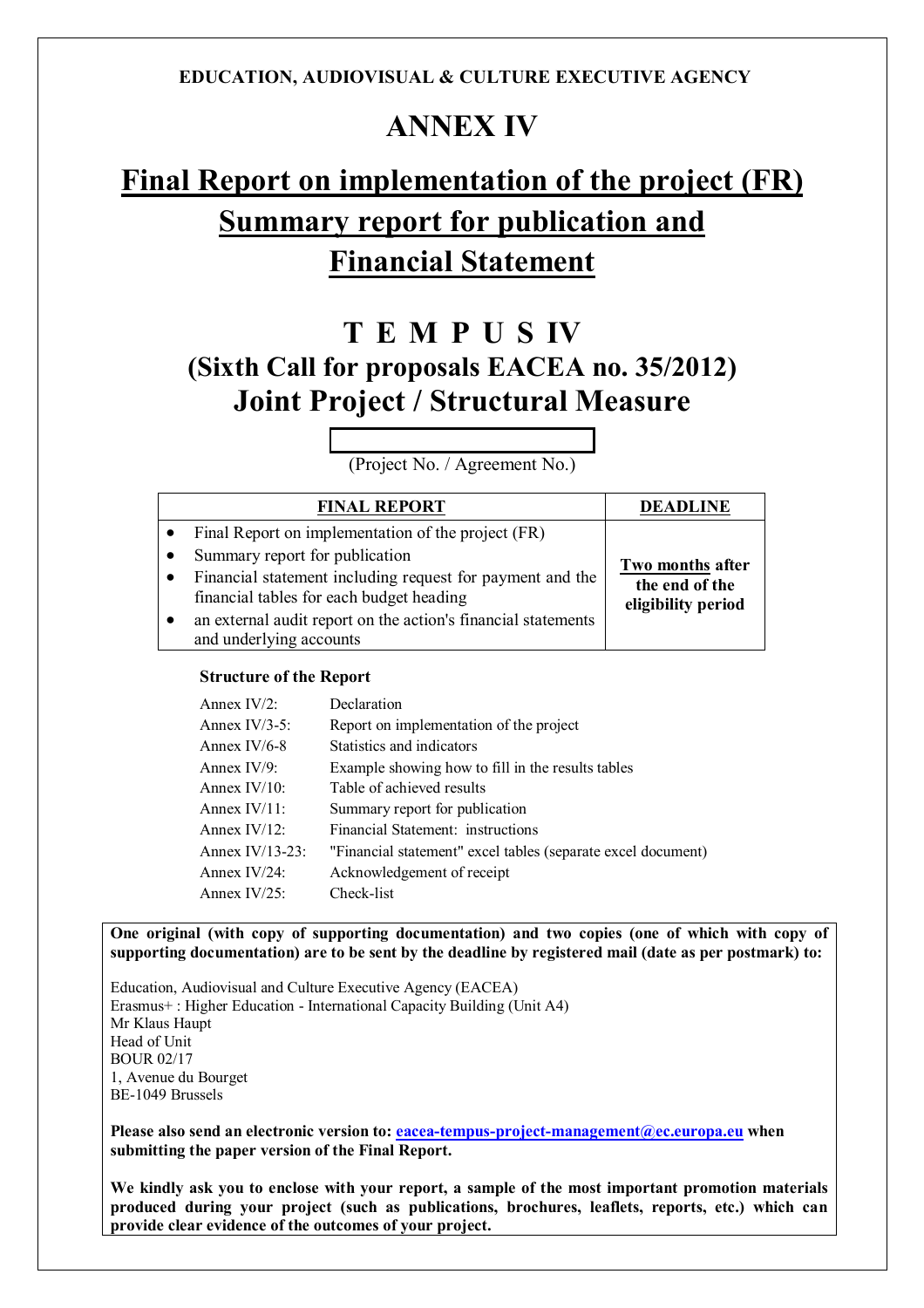# **ANNEX IV**

# **Final Report on implementation of the project (FR) Summary report for publication and Financial Statement**

# **T E M P U S IV (Sixth Call for proposals EACEA no. 35/2012) Joint Project / Structural Measure**

(Project No. / Agreement No.)

| <b>FINAL REPORT</b>                                                                                                                                                                                                                                                                                    | <b>DEADLINE</b>                                          |
|--------------------------------------------------------------------------------------------------------------------------------------------------------------------------------------------------------------------------------------------------------------------------------------------------------|----------------------------------------------------------|
| Final Report on implementation of the project (FR)<br>Summary report for publication<br>Financial statement including request for payment and the<br>$\bullet$<br>financial tables for each budget heading<br>an external audit report on the action's financial statements<br>and underlying accounts | Two months after<br>the end of the<br>eligibility period |

### **Structure of the Report**

| Annex IV/2:     | Declaration                                                  |
|-----------------|--------------------------------------------------------------|
| Annex IV/3-5:   | Report on implementation of the project                      |
| Annex IV/6-8    | Statistics and indicators                                    |
| Annex IV/9:     | Example showing how to fill in the results tables            |
| Annex IV/10:    | Table of achieved results                                    |
| Annex IV/11:    | Summary report for publication                               |
| Annex IV/12:    | Financial Statement: instructions                            |
| Annex IV/13-23: | "Financial statement" excel tables (separate excel document) |
| Annex IV/24:    | Acknowledgement of receipt                                   |
| Annex IV/25:    | Check-list                                                   |

**One original (with copy of supporting documentation) and two copies (one of which with copy of supporting documentation) are to be sent by the deadline by registered mail (date as per postmark) to:**

Education, Audiovisual and Culture Executive Agency (EACEA) Erasmus+ : Higher Education - International Capacity Building (Unit A4) Mr Klaus Haupt Head of Unit BOUR 02/17 1, Avenue du Bourget BE-1049 Brussels

**Please also send an electronic version to: eacea-tempus-project-management@ec.europa.eu when submitting the paper version of the Final Report.**

**We kindly ask you to enclose with your report, a sample of the most important promotion materials produced during your project (such as publications, brochures, leaflets, reports, etc.) which can provide clear evidence of the outcomes of your project.**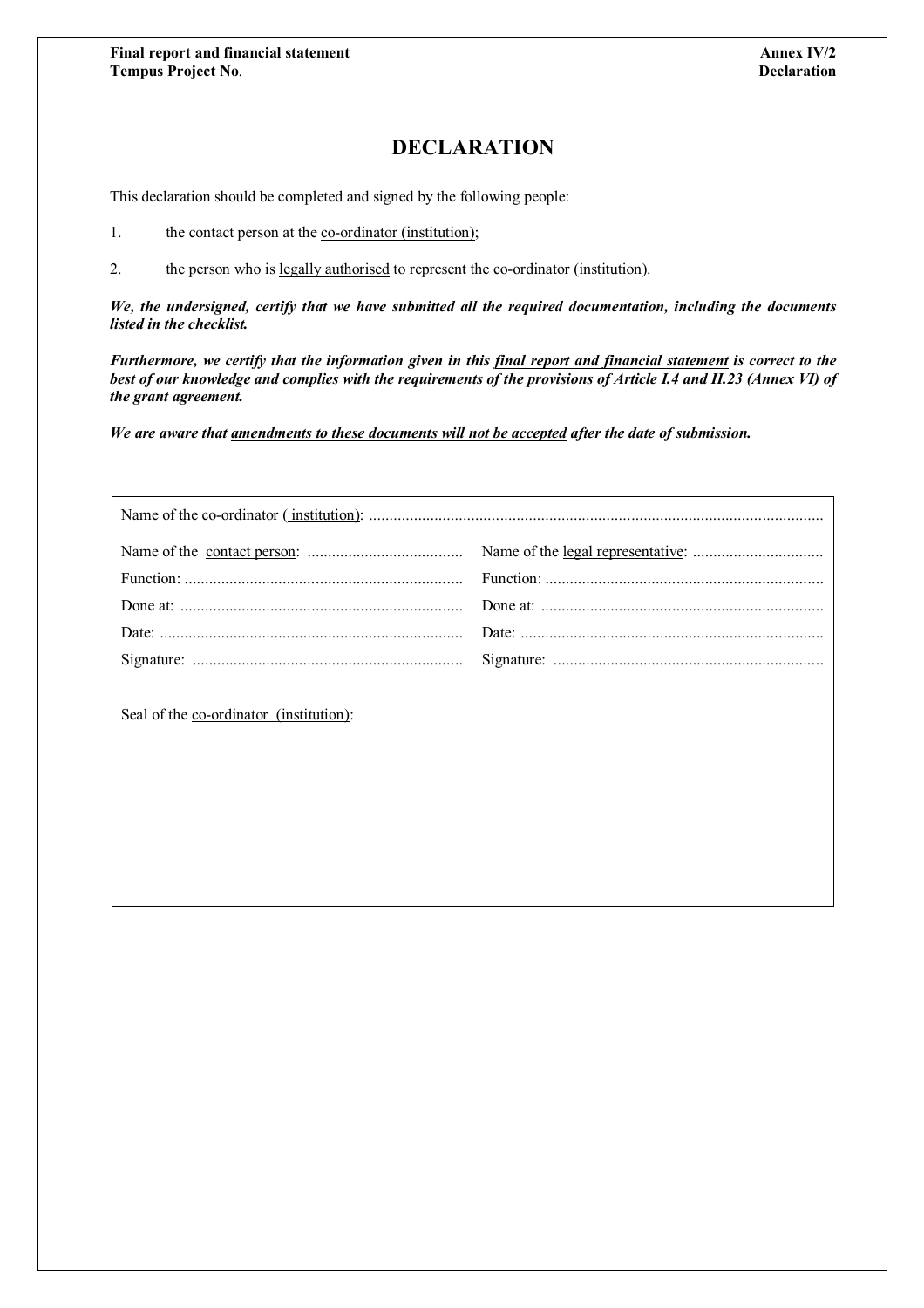## **DECLARATION**

This declaration should be completed and signed by the following people:

- 1. the contact person at the <u>co-ordinator (institution)</u>;
- 2. the person who is legally authorised to represent the co-ordinator (institution).

*We, the undersigned, certify that we have submitted all the required documentation, including the documents listed in the checklist.*

*Furthermore, we certify that the information given in this final report and financial statement is correct to the best of our knowledge and complies with the requirements of the provisions of Article I.4 and II.23 (Annex VI) of the grant agreement.*

*We are aware that amendments to these documents will not be accepted after the date of submission.*

| Seal of the co-ordinator (institution): |  |
|-----------------------------------------|--|
|                                         |  |
|                                         |  |
|                                         |  |
|                                         |  |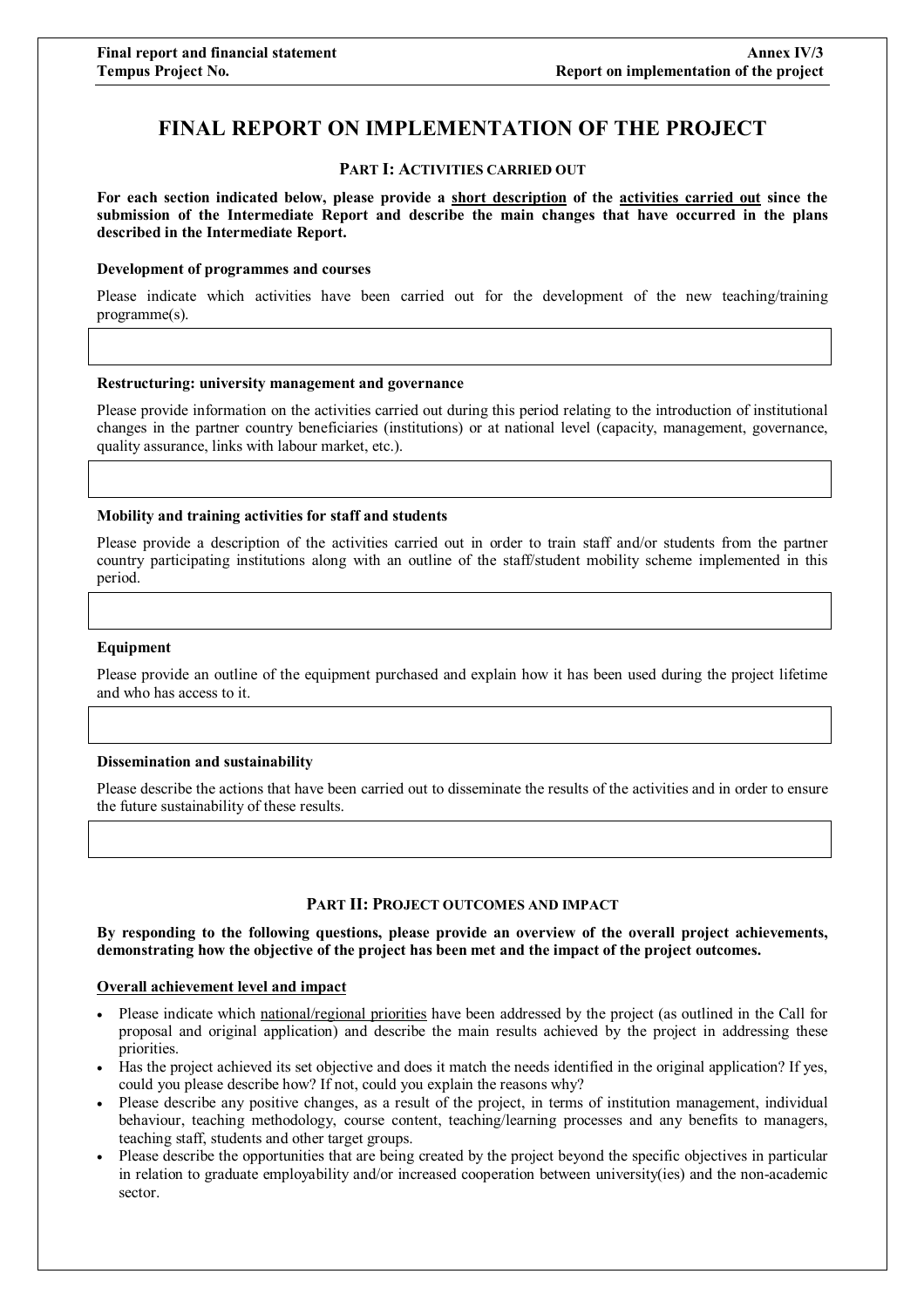## **FINAL REPORT ON IMPLEMENTATION OF THE PROJECT**

#### **PART I: ACTIVITIES CARRIED OUT**

**For each section indicated below, please provide a short description of the activities carried out since the submission of the Intermediate Report and describe the main changes that have occurred in the plans described in the Intermediate Report.**

#### **Development of programmes and courses**

Please indicate which activities have been carried out for the development of the new teaching/training programme(s).

#### **Restructuring: university management and governance**

Please provide information on the activities carried out during this period relating to the introduction of institutional changes in the partner country beneficiaries (institutions) or at national level (capacity, management, governance, quality assurance, links with labour market, etc.).

#### **Mobility and training activities for staff and students**

Please provide a description of the activities carried out in order to train staff and/or students from the partner country participating institutions along with an outline of the staff/student mobility scheme implemented in this period.

#### **Equipment**

Please provide an outline of the equipment purchased and explain how it has been used during the project lifetime and who has access to it.

#### **Dissemination and sustainability**

Please describe the actions that have been carried out to disseminate the results of the activities and in order to ensure the future sustainability of these results.

#### **PART II: PROJECT OUTCOMES AND IMPACT**

**By responding to the following questions, please provide an overview of the overall project achievements, demonstrating how the objective of the project has been met and the impact of the project outcomes.**

#### **Overall achievement level and impact**

- Please indicate which national/regional priorities have been addressed by the project (as outlined in the Call for proposal and original application) and describe the main results achieved by the project in addressing these priorities.
- Has the project achieved its set objective and does it match the needs identified in the original application? If yes, could you please describe how? If not, could you explain the reasons why?
- Please describe any positive changes, as a result of the project, in terms of institution management, individual behaviour, teaching methodology, course content, teaching/learning processes and any benefits to managers, teaching staff, students and other target groups.
- Please describe the opportunities that are being created by the project beyond the specific objectives in particular in relation to graduate employability and/or increased cooperation between university(ies) and the non-academic sector.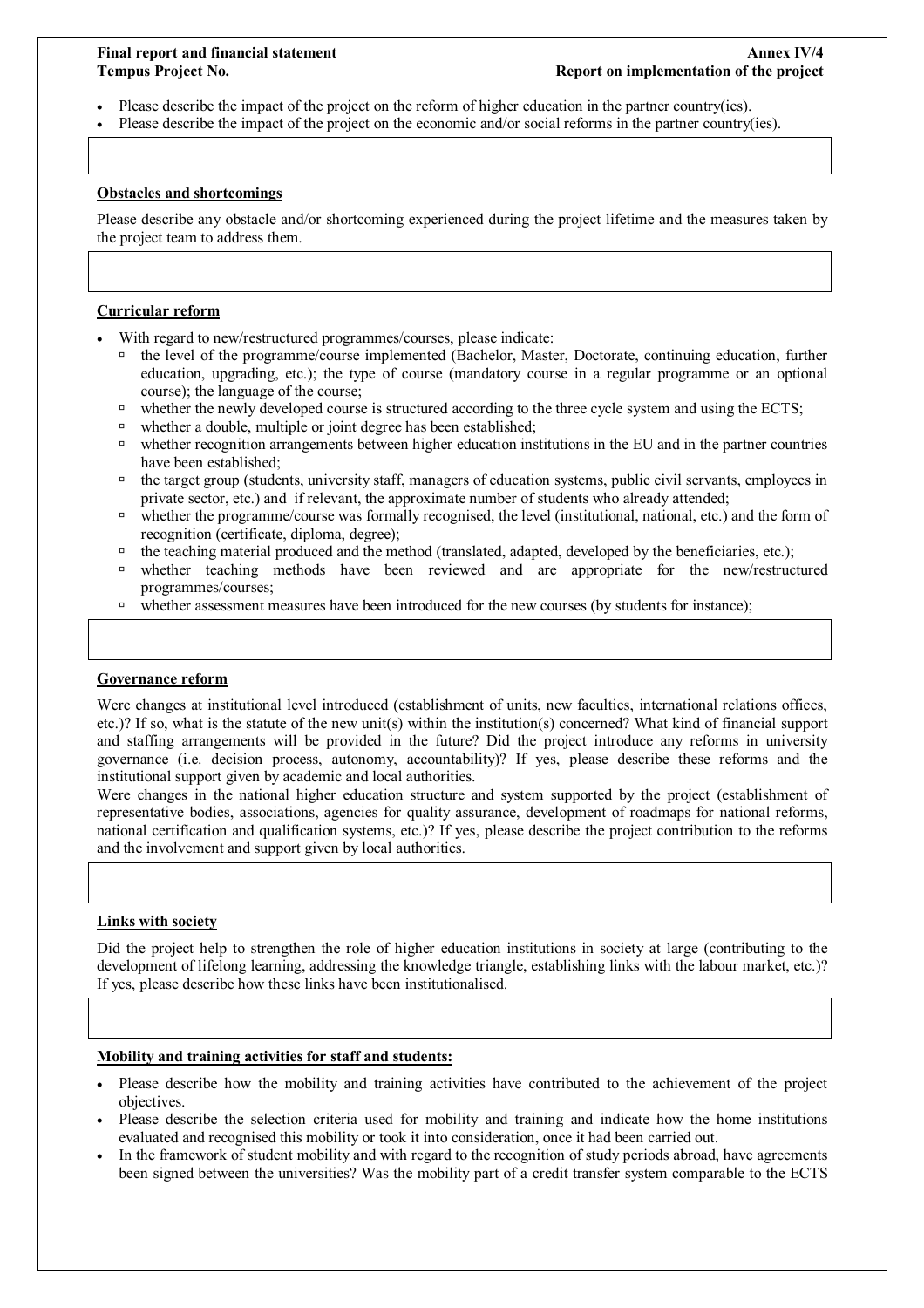- Please describe the impact of the project on the reform of higher education in the partner country(ies).
- Please describe the impact of the project on the economic and/or social reforms in the partner country(ies).

#### **Obstacles and shortcomings**

Please describe any obstacle and/or shortcoming experienced during the project lifetime and the measures taken by the project team to address them.

#### **Curricular reform**

- With regard to new/restructured programmes/courses, please indicate:
	- the level of the programme/course implemented (Bachelor, Master, Doctorate, continuing education, further education, upgrading, etc.); the type of course (mandatory course in a regular programme or an optional course); the language of the course;
	- whether the newly developed course is structured according to the three cycle system and using the ECTS;
	- □ whether a double, multiple or joint degree has been established;
	- whether recognition arrangements between higher education institutions in the EU and in the partner countries have been established;
	- <sup>1</sup> the target group (students, university staff, managers of education systems, public civil servants, employees in private sector, etc.) and if relevant, the approximate number of students who already attended;
	- whether the programme/course was formally recognised, the level (institutional, national, etc.) and the form of recognition (certificate, diploma, degree);
	- $\theta$  the teaching material produced and the method (translated, adapted, developed by the beneficiaries, etc.);
	- whether teaching methods have been reviewed and are appropriate for the new/restructured programmes/courses;
	- $\Box$  whether assessment measures have been introduced for the new courses (by students for instance);

#### **Governance reform**

Were changes at institutional level introduced (establishment of units, new faculties, international relations offices, etc.)? If so, what is the statute of the new unit(s) within the institution(s) concerned? What kind of financial support and staffing arrangements will be provided in the future? Did the project introduce any reforms in university governance (i.e. decision process, autonomy, accountability)? If yes, please describe these reforms and the institutional support given by academic and local authorities.

Were changes in the national higher education structure and system supported by the project (establishment of representative bodies, associations, agencies for quality assurance, development of roadmaps for national reforms, national certification and qualification systems, etc.)? If yes, please describe the project contribution to the reforms and the involvement and support given by local authorities.

#### **Links with society**

Did the project help to strengthen the role of higher education institutions in society at large (contributing to the development of lifelong learning, addressing the knowledge triangle, establishing links with the labour market, etc.)? If yes, please describe how these links have been institutionalised.

#### **Mobility and training activities for staff and students:**

- Please describe how the mobility and training activities have contributed to the achievement of the project objectives.
- Please describe the selection criteria used for mobility and training and indicate how the home institutions evaluated and recognised this mobility or took it into consideration, once it had been carried out.
- In the framework of student mobility and with regard to the recognition of study periods abroad, have agreements been signed between the universities? Was the mobility part of a credit transfer system comparable to the ECTS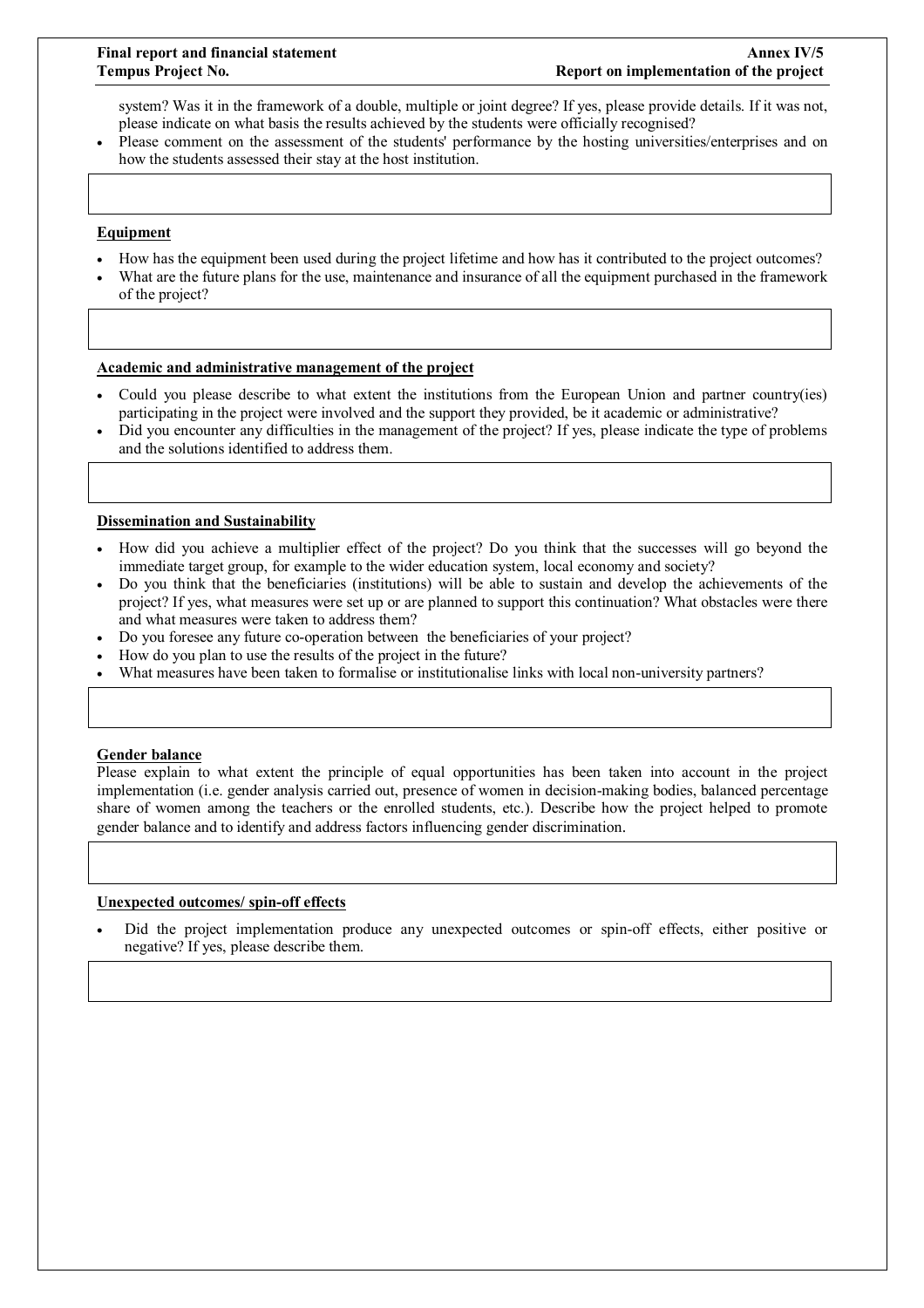system? Was it in the framework of a double, multiple or joint degree? If yes, please provide details. If it was not, please indicate on what basis the results achieved by the students were officially recognised?

 Please comment on the assessment of the students' performance by the hosting universities/enterprises and on how the students assessed their stay at the host institution.

#### **Equipment**

- How has the equipment been used during the project lifetime and how has it contributed to the project outcomes?
- What are the future plans for the use, maintenance and insurance of all the equipment purchased in the framework of the project?

#### **Academic and administrative management of the project**

- Could you please describe to what extent the institutions from the European Union and partner country(ies) participating in the project were involved and the support they provided, be it academic or administrative?
- Did you encounter any difficulties in the management of the project? If yes, please indicate the type of problems and the solutions identified to address them.

#### **Dissemination and Sustainability**

- How did you achieve a multiplier effect of the project? Do you think that the successes will go beyond the immediate target group, for example to the wider education system, local economy and society?
- Do you think that the beneficiaries (institutions) will be able to sustain and develop the achievements of the project? If yes, what measures were set up or are planned to support this continuation? What obstacles were there and what measures were taken to address them?
- Do you foresee any future co-operation between the beneficiaries of your project?
- How do you plan to use the results of the project in the future?
- What measures have been taken to formalise or institutionalise links with local non-university partners?

#### **Gender balance**

Please explain to what extent the principle of equal opportunities has been taken into account in the project implementation (i.e. gender analysis carried out, presence of women in decision-making bodies, balanced percentage share of women among the teachers or the enrolled students, etc.). Describe how the project helped to promote gender balance and to identify and address factors influencing gender discrimination.

#### **Unexpected outcomes/ spin-off effects**

 Did the project implementation produce any unexpected outcomes or spin-off effects, either positive or negative? If yes, please describe them.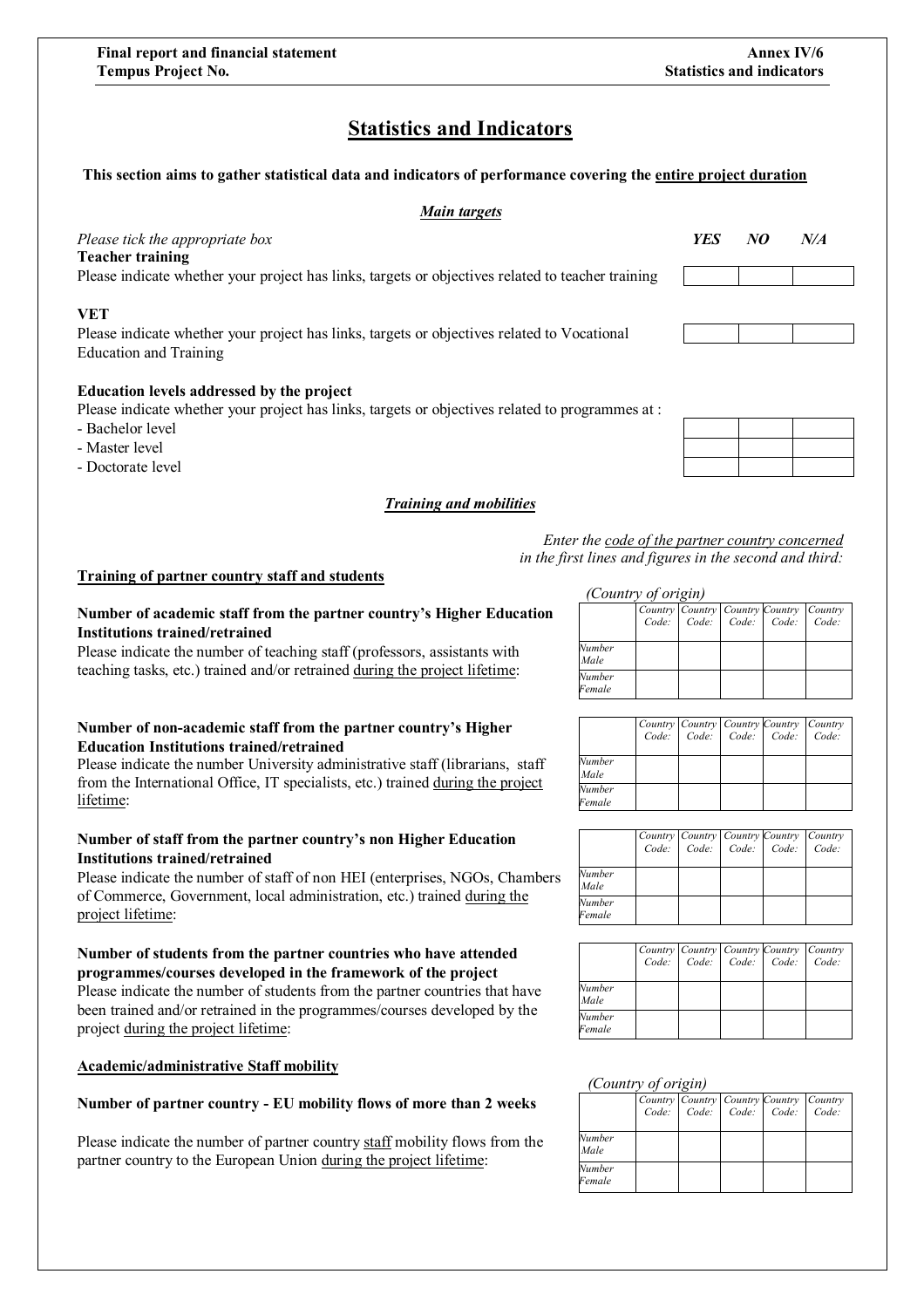## **Statistics and Indicators**

#### **This section aims to gather statistical data and indicators of performance covering the entire project duration**

#### *Main targets*

| Please tick the appropriate box<br><b>Teacher training</b>                                                                   | <b>YES</b> | NO | N/A |
|------------------------------------------------------------------------------------------------------------------------------|------------|----|-----|
| Please indicate whether your project has links, targets or objectives related to teacher training                            |            |    |     |
| VET                                                                                                                          |            |    |     |
| Please indicate whether your project has links, targets or objectives related to Vocational<br><b>Education and Training</b> |            |    |     |
| <b>Education levels addressed by the project</b>                                                                             |            |    |     |
| Please indicate whether your project has links, targets or objectives related to programmes at :                             |            |    |     |
| - Bachelor level                                                                                                             |            |    |     |
| - Master level                                                                                                               |            |    |     |
| - Doctorate level                                                                                                            |            |    |     |

#### *Training and mobilities*

*Enter the code of the partner country concerned in the first lines and figures in the second and third:*

#### **Training of partner country staff and students**

#### **Number of academic staff from the partner country's Higher Education Institutions trained/retrained**

Please indicate the number of teaching staff (professors, assistants with teaching tasks, etc.) trained and/or retrained during the project lifetime:

#### **Number of non-academic staff from the partner country's Higher Education Institutions trained/retrained**

Please indicate the number University administrative staff (librarians, staff from the International Office, IT specialists, etc.) trained during the project lifetime:

#### **Number of staff from the partner country's non Higher Education Institutions trained/retrained**

Please indicate the number of staff of non HEI (enterprises, NGOs, Chambers of Commerce, Government, local administration, etc.) trained during the project lifetime:

#### **Number of students from the partner countries who have attended programmes/courses developed in the framework of the project**

Please indicate the number of students from the partner countries that have been trained and/or retrained in the programmes/courses developed by the project during the project lifetime:

#### **Academic/administrative Staff mobility**

#### Number of partner country - EU mobility flows of more than 2 weeks

Please indicate the number of partner country staff mobility flows from the partner country to the European Union during the project lifetime:

#### *(Country of origin)*

|                  |  | Country Country Country Country Country<br>Code: Code: Code: Code: Code: |  |
|------------------|--|--------------------------------------------------------------------------|--|
| Number<br>Male   |  |                                                                          |  |
| Number<br>Female |  |                                                                          |  |

|                  | Country Country Country Country Country<br>Code: Code: Code: Code: Code: |  |  |
|------------------|--------------------------------------------------------------------------|--|--|
| Number<br>Male   |                                                                          |  |  |
| Number<br>Female |                                                                          |  |  |

|                  | Country Country Country Country Country | Code: Code: Code: Code: Code: |  |  |
|------------------|-----------------------------------------|-------------------------------|--|--|
| Number<br>Male   |                                         |                               |  |  |
| Number<br>Female |                                         |                               |  |  |

|                  | Code: Code: Code: Code: Code: |  | Country Country Country Country Country |
|------------------|-------------------------------|--|-----------------------------------------|
| Number<br>Male   |                               |  |                                         |
| Number<br>Female |                               |  |                                         |

#### *(Country of origin)*

|                  | Country Country Country Country Country<br>Code: Code: Code: Code: Code: |  |  |
|------------------|--------------------------------------------------------------------------|--|--|
| Number<br>Male   |                                                                          |  |  |
| Number<br>Female |                                                                          |  |  |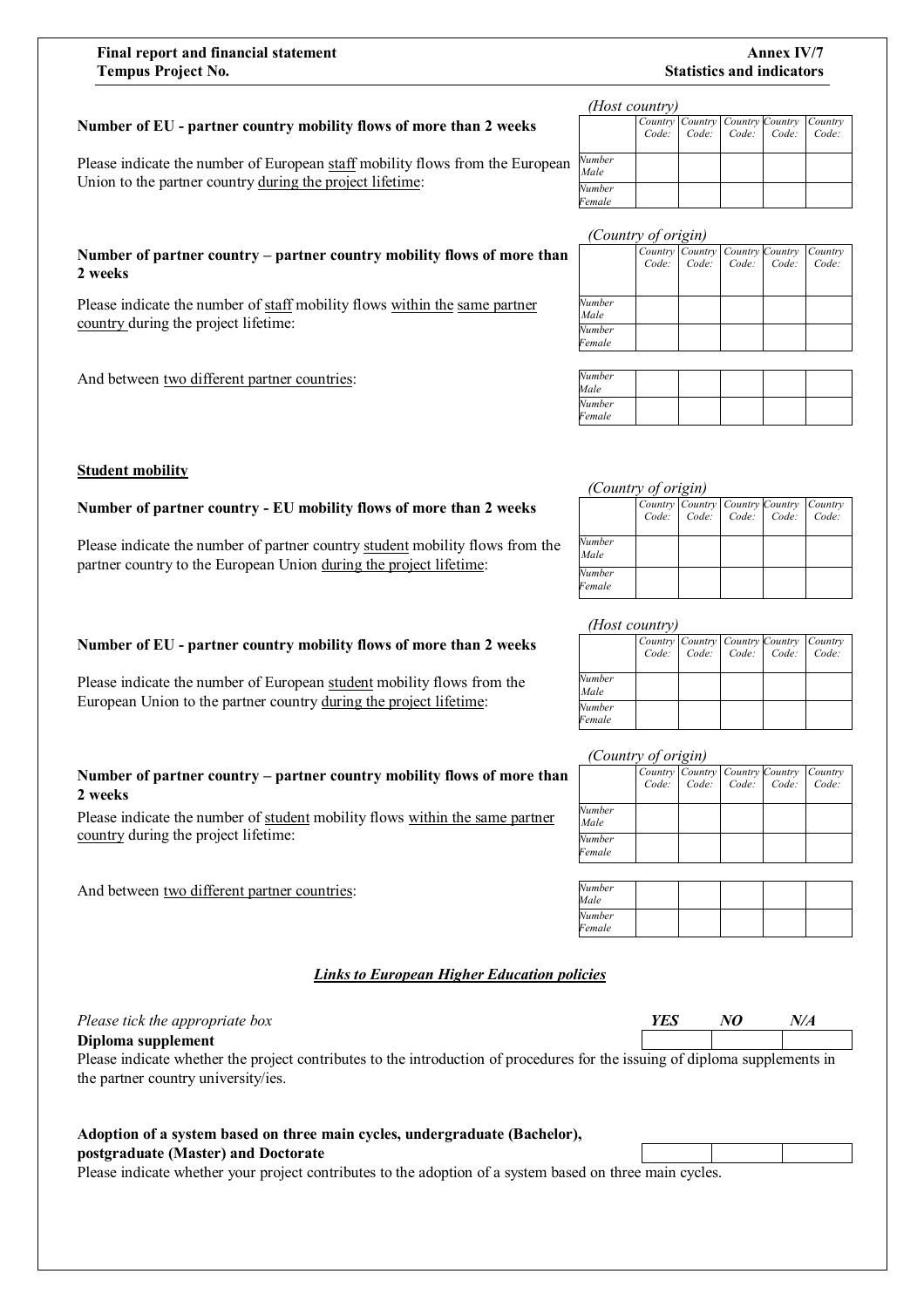#### **Final report and financial statement Annex IV/7 Tempus Project No.** Statistics and indicators

#### Number of EU - partner country mobility flows of more than 2 weeks

Please indicate the number of European staff mobility flows from the European Union to the partner country during the project lifetime:

#### **Number of partner country – partner country mobility flows of more than 2 weeks**

Please indicate the number of staff mobility flows within the same partner country during the project lifetime:

Number of partner country - EU mobility flows of more than 2 weeks

**Number of EU - partner country mobility flows of more than 2 weeks** 

Please indicate the number of European student mobility flows from the European Union to the partner country during the project lifetime:

**Number of partner country – partner country mobility flows of more than** 

Please indicate the number of student mobility flows within the same partner

partner country to the European Union during the project lifetime:

Please indicate the number of partner country student mobility flows from the

And between two different partner countries:

**Student mobility** 

**2 weeks**

#### *(Host country)*

|                  | Country Country Country Country Country |  |  |
|------------------|-----------------------------------------|--|--|
|                  | Code: Code: Code: Code: Code:           |  |  |
| Number<br>Male   |                                         |  |  |
| Number<br>Female |                                         |  |  |

#### *(Country of origin)*

|                | Country Country Country Country Country |  |  |
|----------------|-----------------------------------------|--|--|
|                | Code: Code: Code: Code: Code:           |  |  |
|                |                                         |  |  |
| Number<br>Male |                                         |  |  |
| Number         |                                         |  |  |
| Female         |                                         |  |  |
|                |                                         |  |  |
| h v            |                                         |  |  |

| Number<br>Male   |  |  |  |
|------------------|--|--|--|
| Number<br>Female |  |  |  |

#### *(Country of origin)*

|                  | Country Country Country Country Country | Code: Code: Code: Code: Code: |  |
|------------------|-----------------------------------------|-------------------------------|--|
| Number<br>Male   |                                         |                               |  |
| Number<br>Female |                                         |                               |  |

#### *(Host country)*

|        | Country Country Country Country Country |  |  |
|--------|-----------------------------------------|--|--|
|        | Code: Code: Code: Code: Code:           |  |  |
| Number |                                         |  |  |
| Male   |                                         |  |  |
| Number |                                         |  |  |
| Female |                                         |  |  |

#### *(Country of origin)*

|                  | Country Country Country Country Country | Code: Code: Code: Code: Code: |  |  |
|------------------|-----------------------------------------|-------------------------------|--|--|
| Number<br>Male   |                                         |                               |  |  |
| Number<br>Female |                                         |                               |  |  |

| Number<br>Male   |  |  |  |
|------------------|--|--|--|
| Number<br>Female |  |  |  |

#### *Links to European Higher Education policies*

#### *Please tick the appropriate box YES NO*

country during the project lifetime:

And between two different partner countries:

**Diploma supplement**

Please indicate whether the project contributes to the introduction of procedures for the issuing of diploma supplements in the partner country university/ies.

#### **Adoption of a system based on three main cycles, undergraduate (Bachelor), postgraduate (Master) and Doctorate**

Please indicate whether your project contributes to the adoption of a system based on three main cycles.

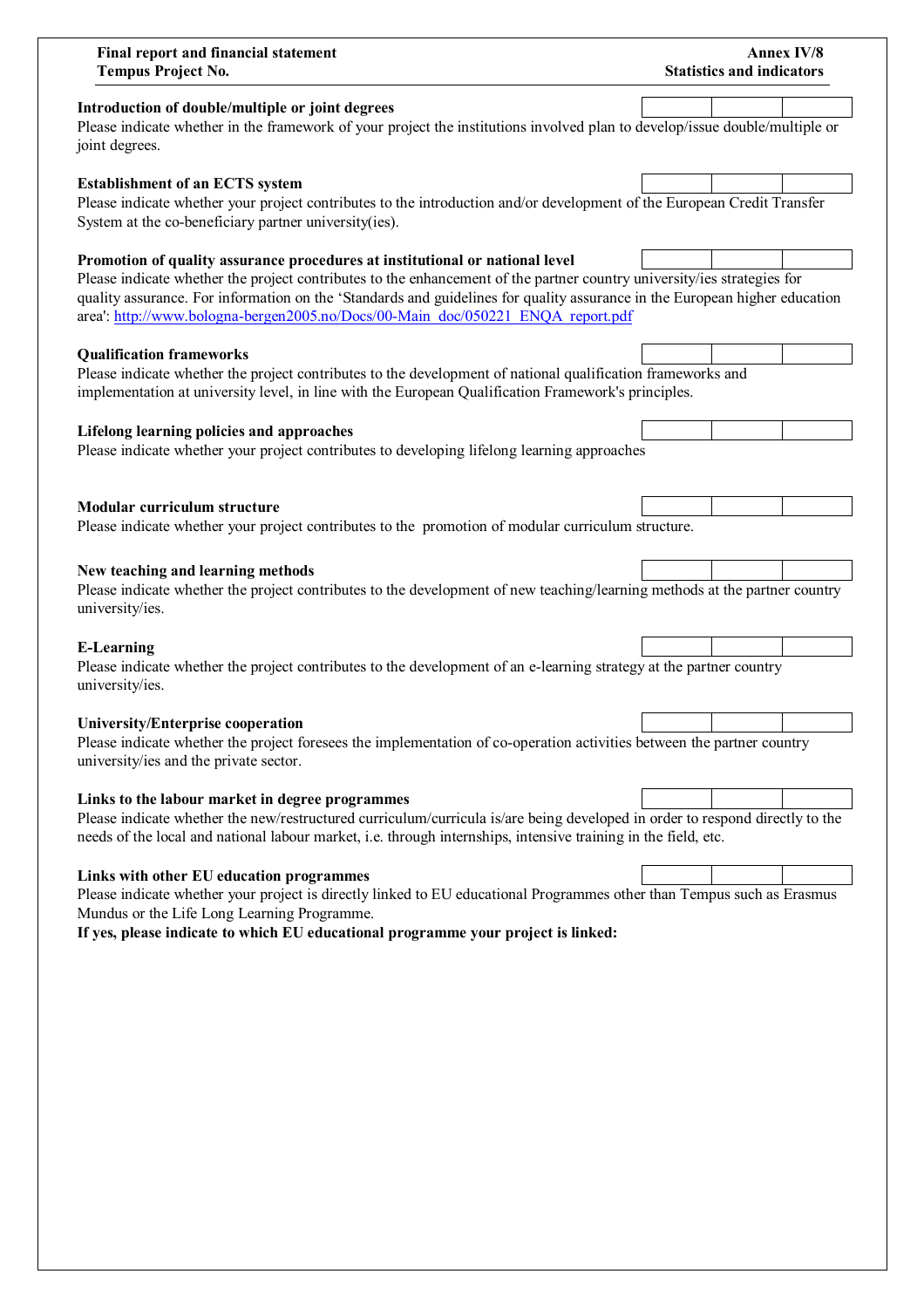| Final report and financial statement<br><b>Tempus Project No.</b>                                                                                                                                                                                                                                                                                                                                                        | <b>Annex IV/8</b><br><b>Statistics and indicators</b> |
|--------------------------------------------------------------------------------------------------------------------------------------------------------------------------------------------------------------------------------------------------------------------------------------------------------------------------------------------------------------------------------------------------------------------------|-------------------------------------------------------|
| Introduction of double/multiple or joint degrees<br>Please indicate whether in the framework of your project the institutions involved plan to develop/issue double/multiple or<br>joint degrees.                                                                                                                                                                                                                        |                                                       |
| <b>Establishment of an ECTS system</b><br>Please indicate whether your project contributes to the introduction and/or development of the European Credit Transfer<br>System at the co-beneficiary partner university(ies).                                                                                                                                                                                               |                                                       |
| Promotion of quality assurance procedures at institutional or national level<br>Please indicate whether the project contributes to the enhancement of the partner country university/ies strategies for<br>quality assurance. For information on the 'Standards and guidelines for quality assurance in the European higher education<br>area': http://www.bologna-bergen2005.no/Docs/00-Main doc/050221 ENQA report.pdf |                                                       |
| <b>Qualification frameworks</b><br>Please indicate whether the project contributes to the development of national qualification frameworks and<br>implementation at university level, in line with the European Qualification Framework's principles.                                                                                                                                                                    |                                                       |
| Lifelong learning policies and approaches<br>Please indicate whether your project contributes to developing lifelong learning approaches                                                                                                                                                                                                                                                                                 |                                                       |
| <b>Modular curriculum structure</b><br>Please indicate whether your project contributes to the promotion of modular curriculum structure.                                                                                                                                                                                                                                                                                |                                                       |
| New teaching and learning methods<br>Please indicate whether the project contributes to the development of new teaching/learning methods at the partner country<br>university/ies.                                                                                                                                                                                                                                       |                                                       |
| <b>E-Learning</b><br>Please indicate whether the project contributes to the development of an e-learning strategy at the partner country<br>university/ies.                                                                                                                                                                                                                                                              |                                                       |
| <b>University/Enterprise cooperation</b><br>Please indicate whether the project foresees the implementation of co-operation activities between the partner country<br>university/ies and the private sector.                                                                                                                                                                                                             |                                                       |
| Links to the labour market in degree programmes<br>Please indicate whether the new/restructured curriculum/curricula is/are being developed in order to respond directly to the<br>needs of the local and national labour market, i.e. through internships, intensive training in the field, etc.                                                                                                                        |                                                       |
| Links with other EU education programmes<br>Please indicate whether your project is directly linked to EU educational Programmes other than Tempus such as Erasmus<br>Mundus or the Life Long Learning Programme.<br>If yes, please indicate to which EU educational programme your project is linked:                                                                                                                   |                                                       |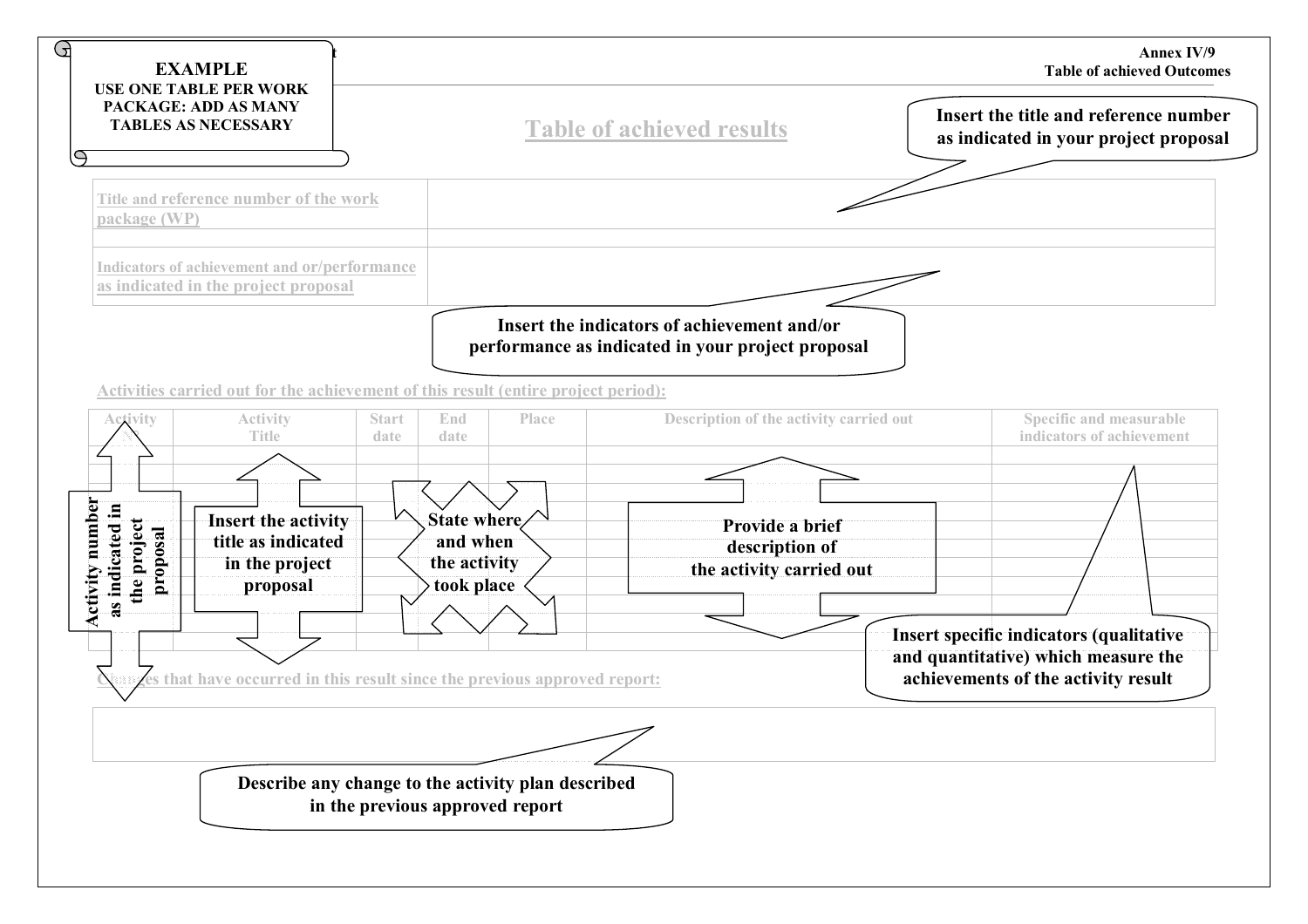| 9<br><b>EXAMPLE</b><br><b>USE ONE TABLE PER WORK</b>                                 |                                     |                                                    |                                                                                                  | <b>Annex IV/9</b><br><b>Table of achieved Outcomes</b>                         |  |
|--------------------------------------------------------------------------------------|-------------------------------------|----------------------------------------------------|--------------------------------------------------------------------------------------------------|--------------------------------------------------------------------------------|--|
| PACKAGE: ADD AS MANY<br><b>TABLES AS NECESSARY</b>                                   |                                     |                                                    | <b>Table of achieved results</b>                                                                 | Insert the title and reference number<br>as indicated in your project proposal |  |
| $\ominus$<br>Title and reference number of the work                                  |                                     |                                                    |                                                                                                  |                                                                                |  |
| package (WP)                                                                         |                                     |                                                    |                                                                                                  |                                                                                |  |
| Indicators of achievement and or/performance<br>as indicated in the project proposal |                                     |                                                    |                                                                                                  |                                                                                |  |
|                                                                                      |                                     |                                                    | Insert the indicators of achievement and/or<br>performance as indicated in your project proposal |                                                                                |  |
| Activities carried out for the achievement of this result (entire project period):   |                                     |                                                    |                                                                                                  |                                                                                |  |
| <b>Activity</b><br>Activity<br><b>Title</b>                                          | <b>Start</b><br>End<br>date<br>date | Place                                              | Description of the activity carried out                                                          | <b>Specific and measurable</b><br>indicators of achievement                    |  |
|                                                                                      |                                     |                                                    |                                                                                                  |                                                                                |  |
| Activity number<br>Insert the activity<br>title as indicated                         | State where<br>and when             |                                                    | Provide a brief<br>description of                                                                |                                                                                |  |
| as indicated in<br>the project<br>proposal<br>in the project<br>proposal             | the activity<br>took place          |                                                    | the activity carried out                                                                         |                                                                                |  |
|                                                                                      |                                     |                                                    |                                                                                                  | Insert specific indicators (qualitative                                        |  |
| es that have occurred in this result since the previous approved report:             |                                     |                                                    |                                                                                                  | and quantitative) which measure the<br>achievements of the activity result     |  |
|                                                                                      |                                     |                                                    |                                                                                                  |                                                                                |  |
|                                                                                      |                                     | Describe any change to the activity plan described |                                                                                                  |                                                                                |  |
|                                                                                      | in the previous approved report     |                                                    |                                                                                                  |                                                                                |  |
|                                                                                      |                                     |                                                    |                                                                                                  |                                                                                |  |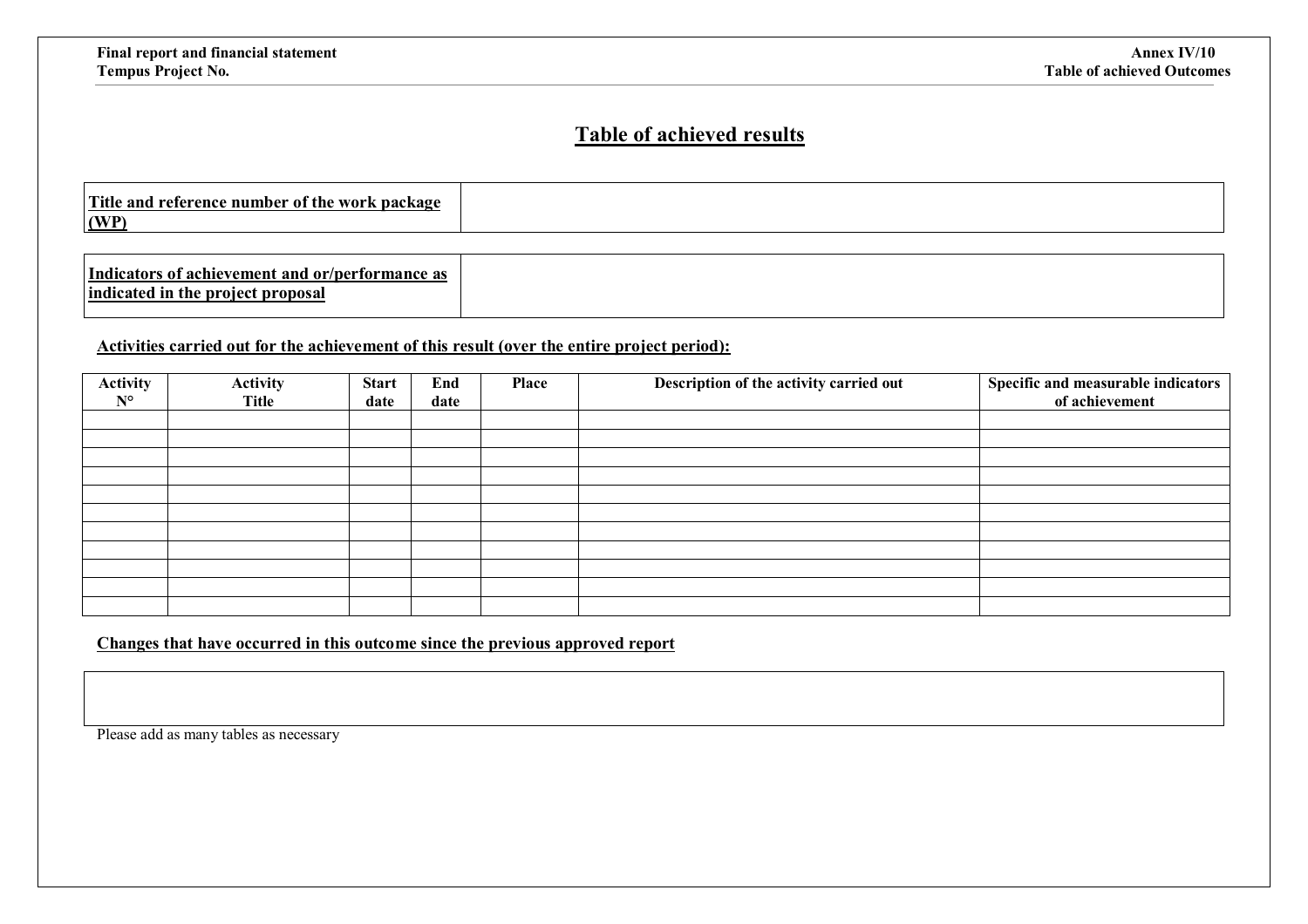## **Table of achieved results**

| Title.<br>` and<br>. WAO PIZ<br>nackaga<br>. reference <sup>-</sup><br>. numner<br>0T<br><b>une</b><br>WVL K<br>wa<br>LIM.<br>(WP) |  |
|------------------------------------------------------------------------------------------------------------------------------------|--|
|                                                                                                                                    |  |

#### **Activities carried out for the achievement of this result (over the entire project period):**

| <b>Activity</b> | <b>Activity</b> | <b>Start</b> | End  | Place | Description of the activity carried out | Specific and measurable indicators |
|-----------------|-----------------|--------------|------|-------|-----------------------------------------|------------------------------------|
| $N^{\circ}$     | <b>Title</b>    | date         | date |       |                                         | of achievement                     |
|                 |                 |              |      |       |                                         |                                    |
|                 |                 |              |      |       |                                         |                                    |
|                 |                 |              |      |       |                                         |                                    |
|                 |                 |              |      |       |                                         |                                    |
|                 |                 |              |      |       |                                         |                                    |
|                 |                 |              |      |       |                                         |                                    |
|                 |                 |              |      |       |                                         |                                    |
|                 |                 |              |      |       |                                         |                                    |
|                 |                 |              |      |       |                                         |                                    |
|                 |                 |              |      |       |                                         |                                    |
|                 |                 |              |      |       |                                         |                                    |

### **Changes that have occurred in this outcome since the previous approved report**

Please add as many tables as necessary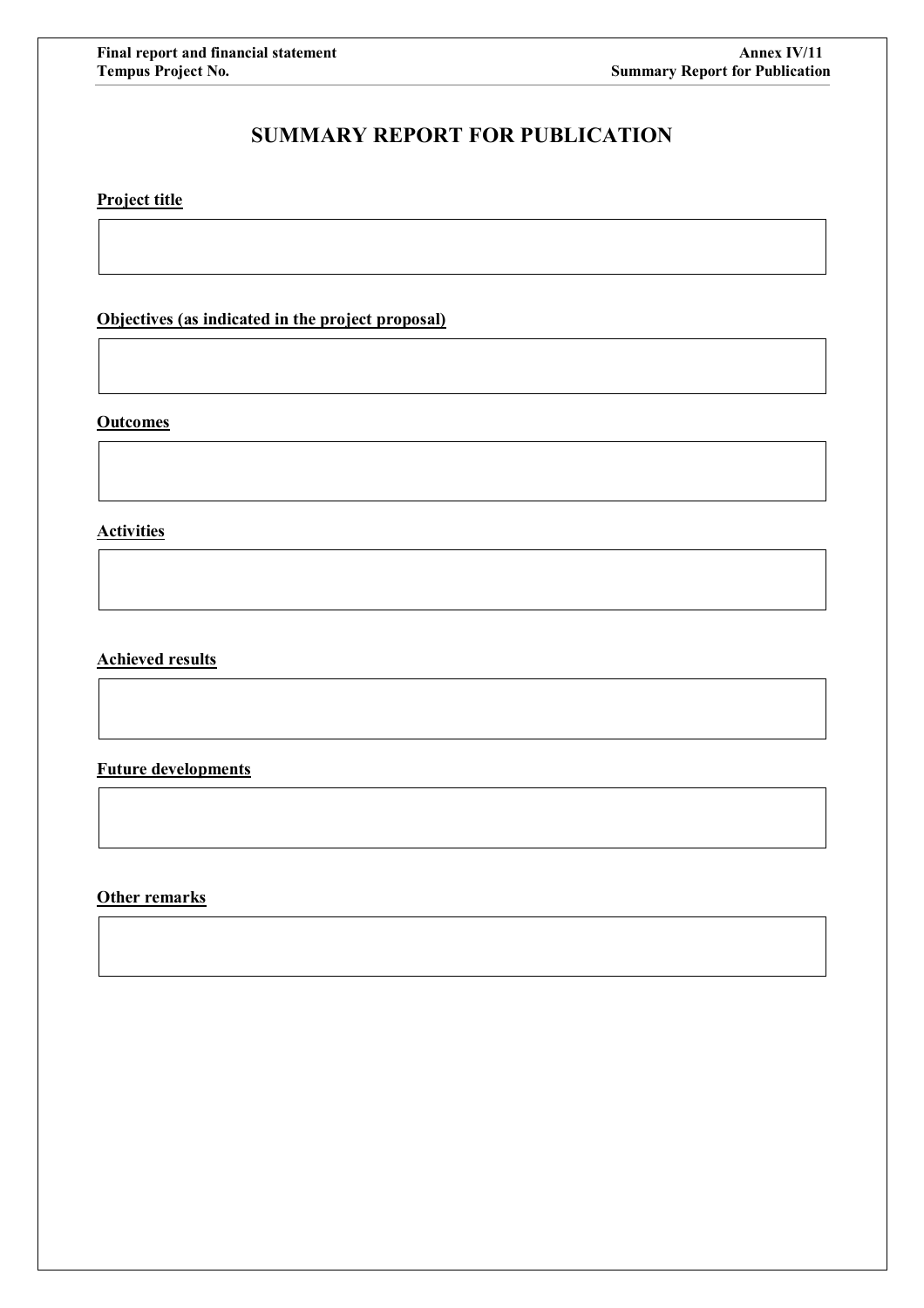## **SUMMARY REPORT FOR PUBLICATION**

## **Project title**

**Objectives (as indicated in the project proposal)**

#### **Outcomes**

**Activities**

### **Achieved results**

**Future developments**

**Other remarks**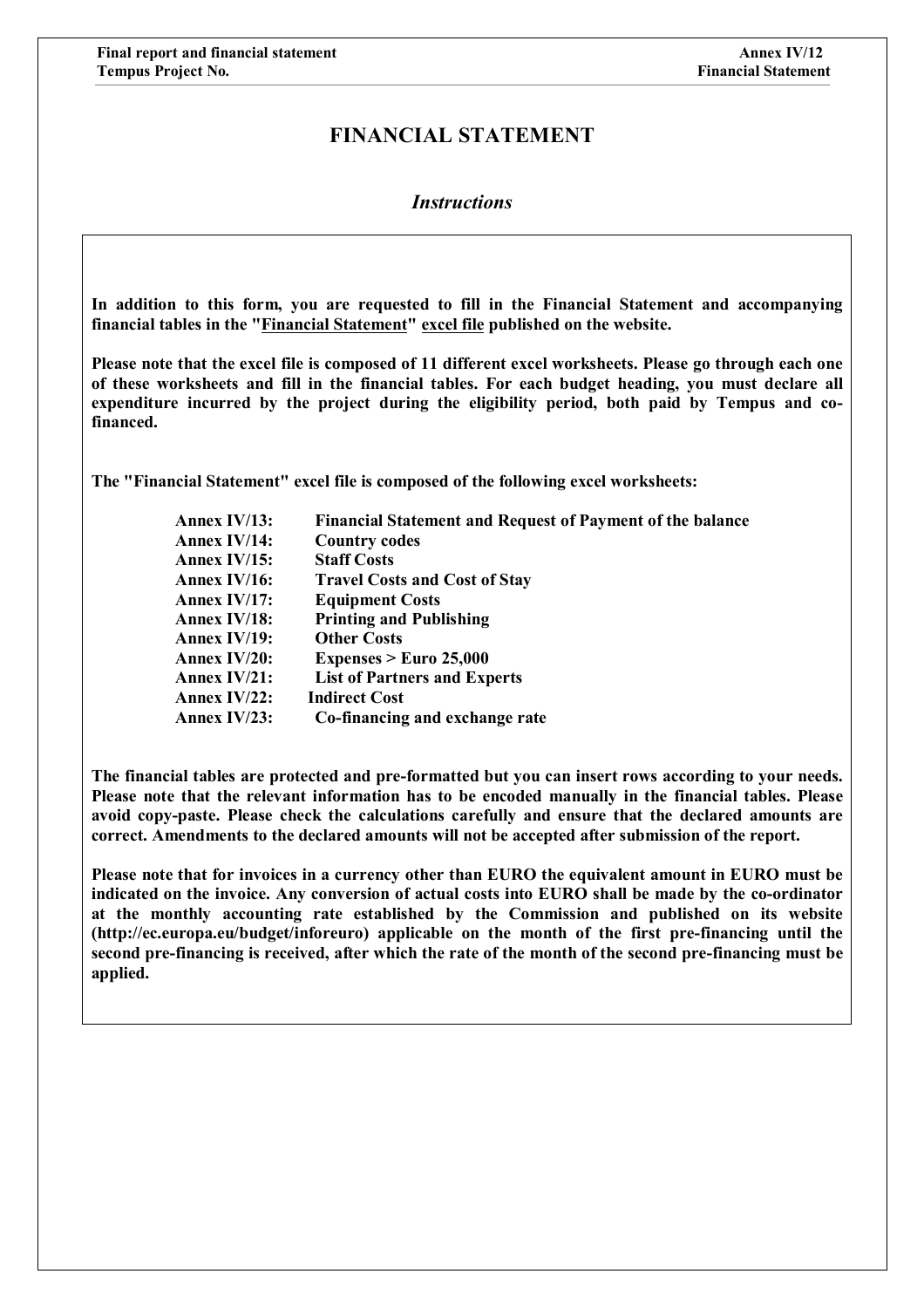## **FINANCIAL STATEMENT**

### *Instructions*

**In addition to this form, you are requested to fill in the Financial Statement and accompanying financial tables in the "Financial Statement" excel file published on the website.** 

**Please note that the excel file is composed of 11 different excel worksheets. Please go through each one of these worksheets and fill in the financial tables. For each budget heading, you must declare all expenditure incurred by the project during the eligibility period, both paid by Tempus and cofinanced.**

**The "Financial Statement" excel file is composed of the following excel worksheets:** 

| Annex $IV/13$ : | <b>Financial Statement and Request of Payment of the balance</b> |
|-----------------|------------------------------------------------------------------|
| Annex $IV/14$ : | <b>Country codes</b>                                             |
| Annex IV/15:    | <b>Staff Costs</b>                                               |
| Annex IV/16:    | <b>Travel Costs and Cost of Stay</b>                             |
| Annex IV/17:    | <b>Equipment Costs</b>                                           |
| Annex IV/18:    | <b>Printing and Publishing</b>                                   |
| Annex $IV/19$ : | <b>Other Costs</b>                                               |
| Annex $IV/20$ : | Expenses $>$ Euro 25,000                                         |
| Annex $IV/21$ : | <b>List of Partners and Experts</b>                              |
| Annex $IV/22$ : | <b>Indirect Cost</b>                                             |
| Annex IV/23:    | Co-financing and exchange rate                                   |

**The financial tables are protected and pre-formatted but you can insert rows according to your needs. Please note that the relevant information has to be encoded manually in the financial tables. Please avoid copy-paste. Please check the calculations carefully and ensure that the declared amounts are correct. Amendments to the declared amounts will not be accepted after submission of the report.**

**Please note that for invoices in a currency other than EURO the equivalent amount in EURO must be indicated on the invoice. Any conversion of actual costs into EURO shall be made by the co-ordinator at the monthly accounting rate established by the Commission and published on its website (http://ec.europa.eu/budget/inforeuro) applicable on the month of the first pre-financing until the second pre-financing is received, after which the rate of the month of the second pre-financing must be applied.**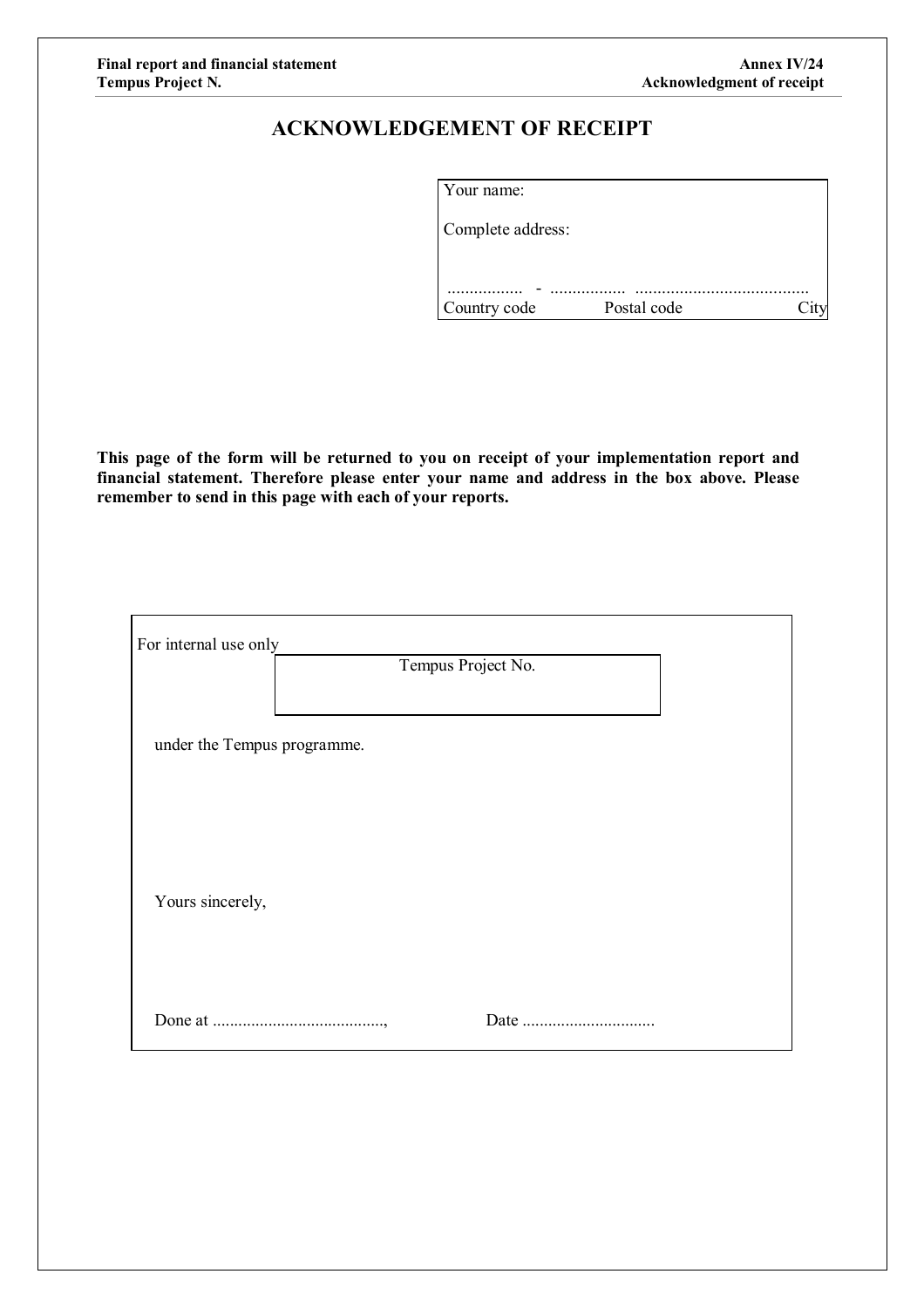## **ACKNOWLEDGEMENT OF RECEIPT**

| Your name:        |             |  |
|-------------------|-------------|--|
| Complete address: |             |  |
|                   |             |  |
|                   |             |  |
| Country code      | Postal code |  |

**This page of the form will be returned to you on receipt of your implementation report and financial statement. Therefore please enter your name and address in the box above. Please remember to send in this page with each of your reports.**

| For internal use only       |                    |  |  |  |  |  |  |
|-----------------------------|--------------------|--|--|--|--|--|--|
|                             | Tempus Project No. |  |  |  |  |  |  |
| under the Tempus programme. |                    |  |  |  |  |  |  |
|                             |                    |  |  |  |  |  |  |
|                             |                    |  |  |  |  |  |  |
|                             |                    |  |  |  |  |  |  |
| Yours sincerely,            |                    |  |  |  |  |  |  |
|                             |                    |  |  |  |  |  |  |
|                             |                    |  |  |  |  |  |  |
|                             |                    |  |  |  |  |  |  |